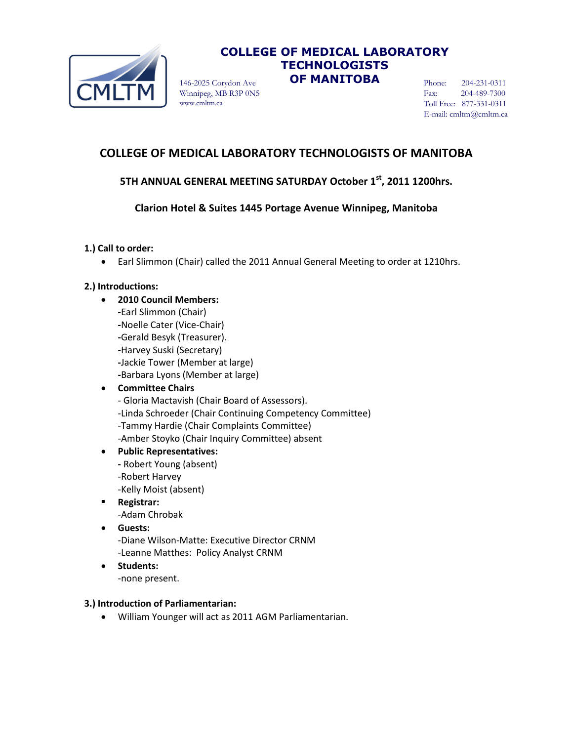

## **COLLEGE OF MEDICAL LABORATORY TECHNOLOGISTS**  146-2025 Corydon Ave **OF MANITOBA**

Winnipeg, MB R3P 0N5 www.cmltm.ca

Phone: 204-231-0311 Fax: 204-489-7300 Toll Free: 877-331-0311 E-mail: cmltm@cmltm.ca

# **COLLEGE OF MEDICAL LABORATORY TECHNOLOGISTS OF MANITOBA**

## **5TH ANNUAL GENERAL MEETING SATURDAY October 1st, 2011 1200hrs.**

## **Clarion Hotel & Suites 1445 Portage Avenue Winnipeg, Manitoba**

## **1.) Call to order:**

Earl Slimmon (Chair) called the 2011 Annual General Meeting to order at 1210hrs.

## **2.) Introductions:**

 **2010 Council Members: -**Earl Slimmon (Chair) **-**Noelle Cater (Vice-Chair) **-**Gerald Besyk (Treasurer). **-**Harvey Suski (Secretary) **-**Jackie Tower (Member at large) **-**Barbara Lyons (Member at large)

## **Committee Chairs**

- Gloria Mactavish (Chair Board of Assessors). -Linda Schroeder (Chair Continuing Competency Committee) -Tammy Hardie (Chair Complaints Committee) -Amber Stoyko (Chair Inquiry Committee) absent

## **Public Representatives:**

- **-** Robert Young (absent) -Robert Harvey -Kelly Moist (absent)
- **Registrar:** -Adam Chrobak
- **Guests:** -Diane Wilson-Matte: Executive Director CRNM
	- -Leanne Matthes: Policy Analyst CRNM
- **•** Students: -none present.

#### **3.) Introduction of Parliamentarian:**

William Younger will act as 2011 AGM Parliamentarian.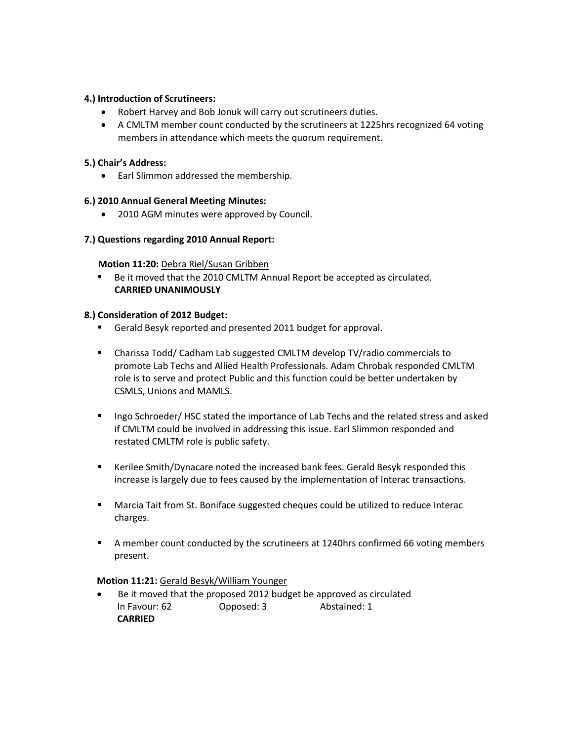### **4.) Introduction of Scrutineers:**

- Robert Harvey and Bob Jonuk will carry out scrutineers duties.
- A CMLTM member count conducted by the scrutineers at 1225hrs recognized 64 voting members in attendance which meets the quorum requirement.

### **5.) Chair's Address:**

Earl Slimmon addressed the membership.

## **6.) 2010 Annual General Meeting Minutes:**

• 2010 AGM minutes were approved by Council.

## **7.) Questions regarding 2010 Annual Report:**

#### **Motion 11:20:** Debra Riel/Susan Gribben

Be it moved that the 2010 CMLTM Annual Report be accepted as circulated. **CARRIED UNANIMOUSLY**

#### **8.) Consideration of 2012 Budget:**

- Gerald Besyk reported and presented 2011 budget for approval.
- Charissa Todd/ Cadham Lab suggested CMLTM develop TV/radio commercials to promote Lab Techs and Allied Health Professionals. Adam Chrobak responded CMLTM role is to serve and protect Public and this function could be better undertaken by CSMLS, Unions and MAMLS.
- Ingo Schroeder/ HSC stated the importance of Lab Techs and the related stress and asked if CMLTM could be involved in addressing this issue. Earl Slimmon responded and restated CMLTM role is public safety.
- Kerilee Smith/Dynacare noted the increased bank fees. Gerald Besyk responded this increase is largely due to fees caused by the implementation of Interac transactions.
- Marcia Tait from St. Boniface suggested cheques could be utilized to reduce Interac charges.
- A member count conducted by the scrutineers at 1240hrs confirmed 66 voting members present.

#### **Motion 11:21:** Gerald Besyk/William Younger

 Be it moved that the proposed 2012 budget be approved as circulated In Favour: 62 Opposed: 3 Abstained: 1  **CARRIED**